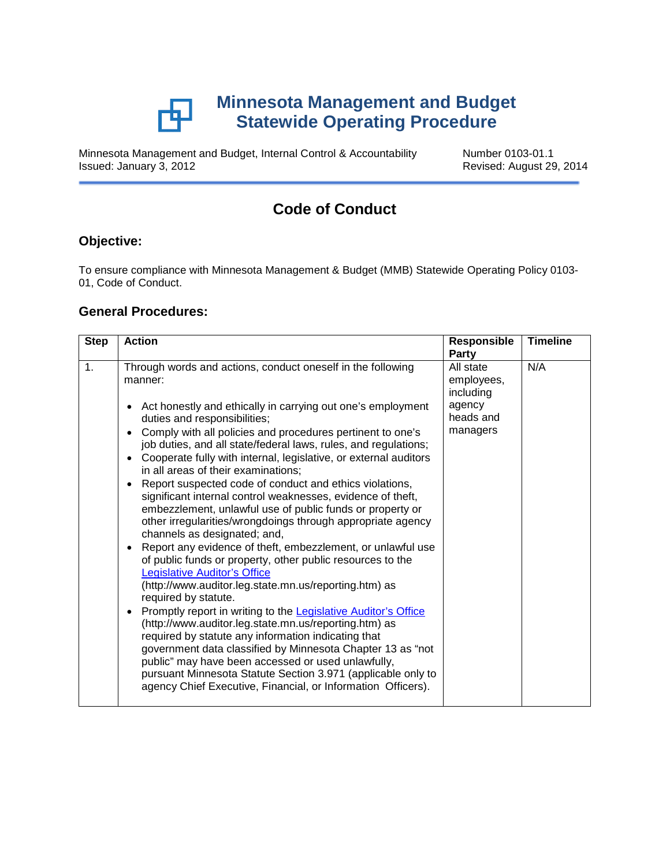

Minnesota Management and Budget, Internal Control & Accountability Number 0103-01.1<br>Revised: August 29

Revised: August 29, 2014

# **Code of Conduct**

## **Objective:**

To ensure compliance with Minnesota Management & Budget (MMB) Statewide Operating Policy 0103- 01, Code of Conduct.

#### **General Procedures:**

| <b>Step</b> | <b>Action</b>                                                                                                                                                                                                                                                                                                                                                                                                                                                                                                                                                                                                                                                                                                                                                                                                                                                                                                                                                                                                                                                                                                                                                                                                                                                                                                                                                                                                                                          | <b>Responsible</b><br>Party                                             | <b>Timeline</b> |
|-------------|--------------------------------------------------------------------------------------------------------------------------------------------------------------------------------------------------------------------------------------------------------------------------------------------------------------------------------------------------------------------------------------------------------------------------------------------------------------------------------------------------------------------------------------------------------------------------------------------------------------------------------------------------------------------------------------------------------------------------------------------------------------------------------------------------------------------------------------------------------------------------------------------------------------------------------------------------------------------------------------------------------------------------------------------------------------------------------------------------------------------------------------------------------------------------------------------------------------------------------------------------------------------------------------------------------------------------------------------------------------------------------------------------------------------------------------------------------|-------------------------------------------------------------------------|-----------------|
| 1.          | Through words and actions, conduct oneself in the following<br>manner:<br>Act honestly and ethically in carrying out one's employment<br>$\bullet$<br>duties and responsibilities;<br>Comply with all policies and procedures pertinent to one's<br>job duties, and all state/federal laws, rules, and regulations;<br>Cooperate fully with internal, legislative, or external auditors<br>in all areas of their examinations;<br>Report suspected code of conduct and ethics violations,<br>$\bullet$<br>significant internal control weaknesses, evidence of theft,<br>embezzlement, unlawful use of public funds or property or<br>other irregularities/wrongdoings through appropriate agency<br>channels as designated; and,<br>Report any evidence of theft, embezzlement, or unlawful use<br>$\bullet$<br>of public funds or property, other public resources to the<br><b>Legislative Auditor's Office</b><br>(http://www.auditor.leg.state.mn.us/reporting.htm) as<br>required by statute.<br>Promptly report in writing to the Legislative Auditor's Office<br>$\bullet$<br>(http://www.auditor.leg.state.mn.us/reporting.htm) as<br>required by statute any information indicating that<br>government data classified by Minnesota Chapter 13 as "not<br>public" may have been accessed or used unlawfully,<br>pursuant Minnesota Statute Section 3.971 (applicable only to<br>agency Chief Executive, Financial, or Information Officers). | All state<br>employees,<br>including<br>agency<br>heads and<br>managers | N/A             |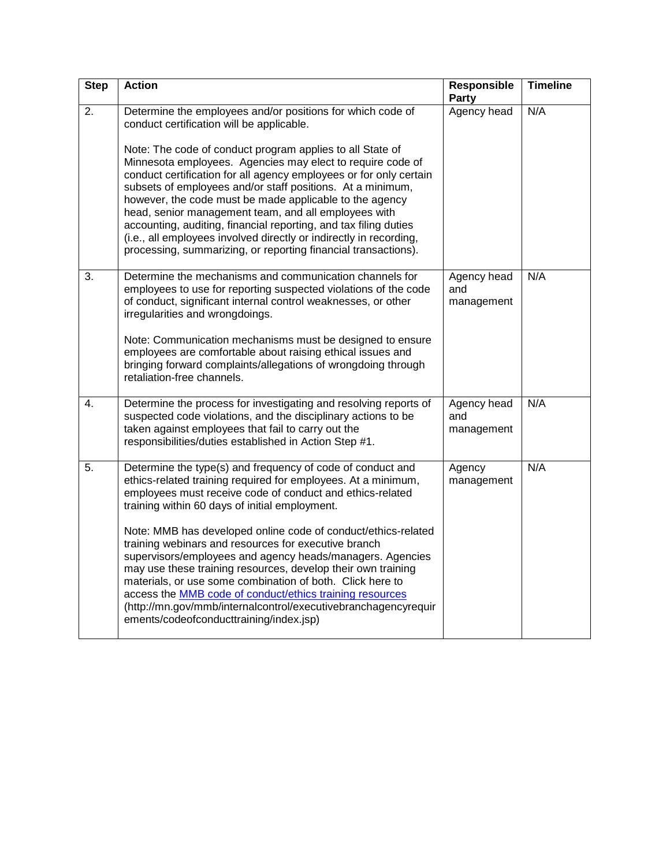| <b>Step</b>      | <b>Action</b>                                                                                                                                                                                                                                                                                                                                                                                                                                                                                                                                                                                                                                                                                                                          | Responsible<br><b>Party</b>      | <b>Timeline</b> |
|------------------|----------------------------------------------------------------------------------------------------------------------------------------------------------------------------------------------------------------------------------------------------------------------------------------------------------------------------------------------------------------------------------------------------------------------------------------------------------------------------------------------------------------------------------------------------------------------------------------------------------------------------------------------------------------------------------------------------------------------------------------|----------------------------------|-----------------|
| 2.               | Determine the employees and/or positions for which code of<br>conduct certification will be applicable.<br>Note: The code of conduct program applies to all State of<br>Minnesota employees. Agencies may elect to require code of<br>conduct certification for all agency employees or for only certain<br>subsets of employees and/or staff positions. At a minimum,<br>however, the code must be made applicable to the agency<br>head, senior management team, and all employees with<br>accounting, auditing, financial reporting, and tax filing duties<br>(i.e., all employees involved directly or indirectly in recording,<br>processing, summarizing, or reporting financial transactions).                                  | Agency head                      | N/A             |
| 3.               | Determine the mechanisms and communication channels for<br>employees to use for reporting suspected violations of the code<br>of conduct, significant internal control weaknesses, or other<br>irregularities and wrongdoings.<br>Note: Communication mechanisms must be designed to ensure<br>employees are comfortable about raising ethical issues and<br>bringing forward complaints/allegations of wrongdoing through<br>retaliation-free channels.                                                                                                                                                                                                                                                                               | Agency head<br>and<br>management | N/A             |
| $\overline{4}$ . | Determine the process for investigating and resolving reports of<br>suspected code violations, and the disciplinary actions to be<br>taken against employees that fail to carry out the<br>responsibilities/duties established in Action Step #1.                                                                                                                                                                                                                                                                                                                                                                                                                                                                                      | Agency head<br>and<br>management | N/A             |
| 5.               | Determine the type(s) and frequency of code of conduct and<br>ethics-related training required for employees. At a minimum,<br>employees must receive code of conduct and ethics-related<br>training within 60 days of initial employment.<br>Note: MMB has developed online code of conduct/ethics-related<br>training webinars and resources for executive branch<br>supervisors/employees and agency heads/managers. Agencies<br>may use these training resources, develop their own training<br>materials, or use some combination of both. Click here to<br>access the MMB code of conduct/ethics training resources<br>(http://mn.gov/mmb/internalcontrol/executivebranchagencyrequir<br>ements/codeofconducttraining/index.jsp) | Agency<br>management             | N/A             |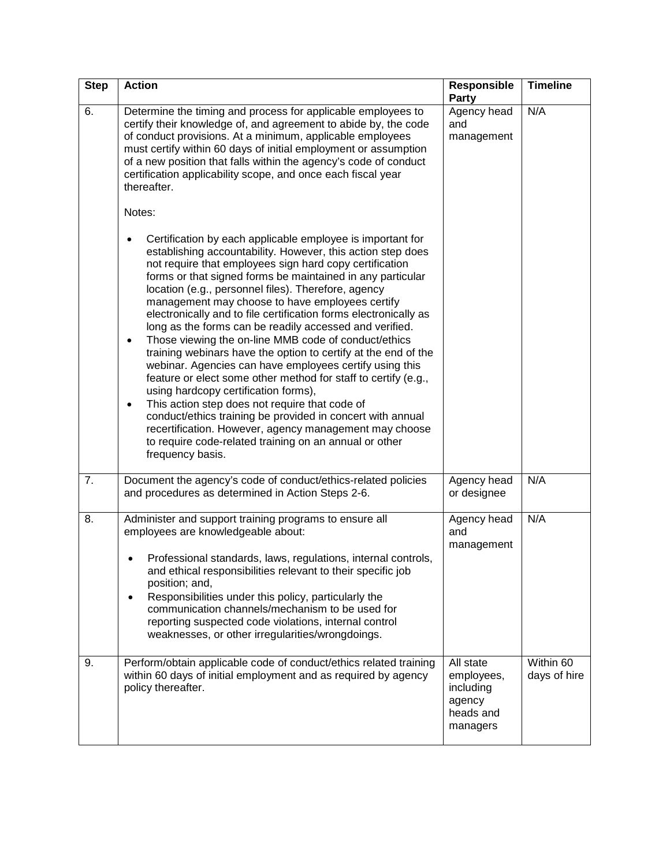| <b>Step</b>      | <b>Action</b>                                                                                                                                                                                                                                                                                                                                                                                                                                                                                                                                                                                                                                                                                                                                                                                                                                                                                                                                                                                                                                                                     | Responsible<br>Party                                                    | <b>Timeline</b>           |
|------------------|-----------------------------------------------------------------------------------------------------------------------------------------------------------------------------------------------------------------------------------------------------------------------------------------------------------------------------------------------------------------------------------------------------------------------------------------------------------------------------------------------------------------------------------------------------------------------------------------------------------------------------------------------------------------------------------------------------------------------------------------------------------------------------------------------------------------------------------------------------------------------------------------------------------------------------------------------------------------------------------------------------------------------------------------------------------------------------------|-------------------------------------------------------------------------|---------------------------|
| 6.               | Determine the timing and process for applicable employees to<br>certify their knowledge of, and agreement to abide by, the code<br>of conduct provisions. At a minimum, applicable employees<br>must certify within 60 days of initial employment or assumption<br>of a new position that falls within the agency's code of conduct<br>certification applicability scope, and once each fiscal year<br>thereafter.                                                                                                                                                                                                                                                                                                                                                                                                                                                                                                                                                                                                                                                                | Agency head<br>and<br>management                                        | N/A                       |
|                  | Notes:                                                                                                                                                                                                                                                                                                                                                                                                                                                                                                                                                                                                                                                                                                                                                                                                                                                                                                                                                                                                                                                                            |                                                                         |                           |
|                  | Certification by each applicable employee is important for<br>$\bullet$<br>establishing accountability. However, this action step does<br>not require that employees sign hard copy certification<br>forms or that signed forms be maintained in any particular<br>location (e.g., personnel files). Therefore, agency<br>management may choose to have employees certify<br>electronically and to file certification forms electronically as<br>long as the forms can be readily accessed and verified.<br>Those viewing the on-line MMB code of conduct/ethics<br>٠<br>training webinars have the option to certify at the end of the<br>webinar. Agencies can have employees certify using this<br>feature or elect some other method for staff to certify (e.g.,<br>using hardcopy certification forms),<br>This action step does not require that code of<br>$\bullet$<br>conduct/ethics training be provided in concert with annual<br>recertification. However, agency management may choose<br>to require code-related training on an annual or other<br>frequency basis. |                                                                         |                           |
| $\overline{7}$ . | Document the agency's code of conduct/ethics-related policies<br>and procedures as determined in Action Steps 2-6.                                                                                                                                                                                                                                                                                                                                                                                                                                                                                                                                                                                                                                                                                                                                                                                                                                                                                                                                                                | Agency head<br>or designee                                              | N/A                       |
| 8.               | Administer and support training programs to ensure all<br>employees are knowledgeable about:<br>Professional standards, laws, regulations, internal controls,<br>and ethical responsibilities relevant to their specific job<br>position; and,<br>Responsibilities under this policy, particularly the<br>$\bullet$<br>communication channels/mechanism to be used for<br>reporting suspected code violations, internal control<br>weaknesses, or other irregularities/wrongdoings.                                                                                                                                                                                                                                                                                                                                                                                                                                                                                                                                                                                               | Agency head<br>and<br>management                                        | N/A                       |
| 9.               | Perform/obtain applicable code of conduct/ethics related training<br>within 60 days of initial employment and as required by agency<br>policy thereafter.                                                                                                                                                                                                                                                                                                                                                                                                                                                                                                                                                                                                                                                                                                                                                                                                                                                                                                                         | All state<br>employees,<br>including<br>agency<br>heads and<br>managers | Within 60<br>days of hire |